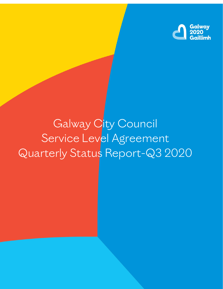

# Galway City Council Service Level Agreement Quarterly Status Report-Q3 2020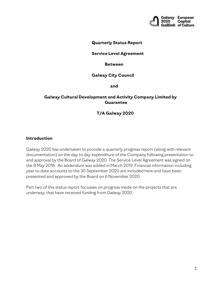

#### **Quarterly Status Report**

#### **Service Level Agreement**

#### **Between**

#### **Galway City Council**

 **and**

#### **Galway Cultural Development and Activity Company Limited by Guarantee**

#### **T/A Galway 2020**

#### **Introduction**

Galway 2020 has undertaken to provide a quarterly progress report (along with relevant documentation) on the day to day expenditure of the Company following presentation to and approval by the Board of Galway 2020. The Service Level Agreement was signed on the 8 May 2018. An addendum was added in March 2019. Financial information including year to date accounts to the 30 September 2020 are included here and have been presented and approved by the Board on 6 November 2020.

Part two of this status report focusses on progress made on the projects that are underway, that have received funding from Galway 2020.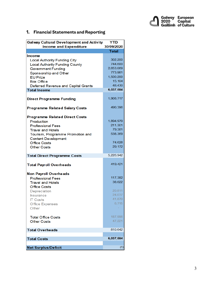

# **1. Financial Statements and Reporting**

| <b>Galway Cultural Development and Activity</b><br><b>Income and Expenditure</b> | <b>YTD</b><br>30/09/2020 |
|----------------------------------------------------------------------------------|--------------------------|
|                                                                                  | <b>Total</b>             |
| Income                                                                           |                          |
| <b>Local Authority Funding City</b>                                              | 302,200                  |
| <b>Local Authority Funding County</b>                                            | 744,600                  |
| <b>Government Funding</b>                                                        | 2,653,069                |
| Sponsorship and Other                                                            | 773,981                  |
| <b>EU Prize</b>                                                                  | 1,500,200                |
| <b>Box Office</b>                                                                | 15.104                   |
| Deferred Revenue and Capital Grants                                              | 48.430                   |
| <b>Total Income</b>                                                              | 6,037,584                |
|                                                                                  |                          |
| <b>Direct Programme Funding</b>                                                  | 1,908,717                |
|                                                                                  |                          |
| <b>Programme Related Salary Costs</b>                                            | 490,396                  |
|                                                                                  |                          |
| <b>Programme Related Direct Costs</b>                                            |                          |
| Production                                                                       | 1,894,979                |
| <b>Professional Fees</b>                                                         | 211,301                  |
| <b>Travel and Hotels</b>                                                         | 79,381                   |
| Tourism, Programme Promotion and                                                 | 538,369                  |
| <b>Content Development</b>                                                       |                          |
| <b>Office Costs</b>                                                              | 74,628                   |
| <b>Other Costs</b>                                                               | 29,172                   |
|                                                                                  |                          |
| <b>Total Direct Programme Costs</b>                                              | 5,226,942                |
| <b>Total Payroll Overheads</b>                                                   | 419,421                  |
| <b>Non Payroll Overheads</b>                                                     |                          |
| <b>Professional Fees</b>                                                         | 117,382                  |
| <b>Travel and Hotels</b>                                                         | 38,622                   |
| Office Costs                                                                     |                          |
| Depreciation                                                                     | 20,811                   |
| <b>Insurance</b>                                                                 | 24,037                   |
| <b>IT Costs</b>                                                                  | 41,870                   |
| Office Expenses                                                                  | 6,715                    |
| Other                                                                            |                          |
|                                                                                  |                          |
| <b>Total Office Costs</b>                                                        | 187,996                  |
| <b>Other Costs</b>                                                               | 47,221                   |
|                                                                                  |                          |
| <b>Total Overheads</b>                                                           | 810,642                  |
| <b>Total Costs</b>                                                               | 6,037,584                |
|                                                                                  |                          |
| <b>Net Surplus/Deficit</b>                                                       | (1)                      |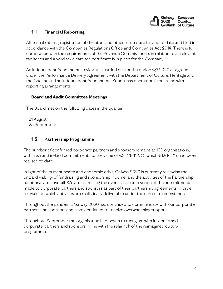

# **1.1 Financial Reporting**

All annual returns, registration of directors and other returns are fully up to date and filed in accordance with the Companies Regulations Office and Companies Act 2014. There is full compliance with the requirements of the Revenue Commissioners in relation to all relevant tax heads and a valid tax clearance certificate is in place for the Company.

An Independent Accountants review was carried out for the period Q3 2020 as agreed under the Performance Delivery Agreement with the Department of Culture, Heritage and the Gaeltacht. The Independent Accountants Report has been submitted in line with reporting arrangements.

## **Board and Audit Committee Meetings**

The Board met on the following dates in the quarter:

21 August 25 September

# **1.2 Partnership Programme**

The number of confirmed corporate partners and sponsors remains at 100 organisations, with cash and in-kind commitments to the value of €2,278,112. Of which €1,914,217 had been realised to date.

In light of the current health and economic crisis, Galway 2020 is currently reviewing the onward viability of fundraising and sponsorship income, and the activities of the Partnership functional area overall. We are examining the overall scale and scope of the commitments made to corporate partners and sponsors as part of their partnership agreements, in order to evaluate which activities are realistically deliverable under the current circumstances.

Throughout the pandemic Galway 2020 has continued to communicate with our corporate partners and sponsors and have continued to receive overwhelming support.

Throughout September the organisation had begun to reengage with its confirmed corporate partners and sponsors in line with the relaunch of the reimagined cultural programme.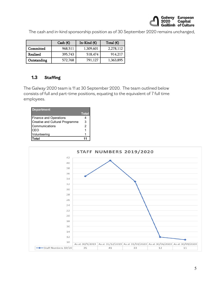

The cash and in-kind sponsorship position as of 30 September 2020 remains unchanged,

|             | Cash $(E)$ | In-Kind $(E)$ | Total $(E)$ |
|-------------|------------|---------------|-------------|
| Committed   | 968,511    | 1,309,601     | 2,278,112   |
| Realised    | 395,743    | 518,474       | 914,217     |
| Outstanding | 572,768    | 791,127       | 1,363,895   |

# **1.3 Staffing**

The Galway 2020 team is 11 at 30 September 2020. The team outlined below consists of full and part-time positions, equating to the equivalent of 7 full time employees.

| <b>Department</b>               |                |
|---------------------------------|----------------|
|                                 | <b>Total</b>   |
| <b>Finance and Operations</b>   | 4              |
| Creative and Cultural Programme | 3              |
| Communications                  | $\overline{2}$ |
| CEO                             |                |
| Volunteering                    |                |
| Total                           |                |

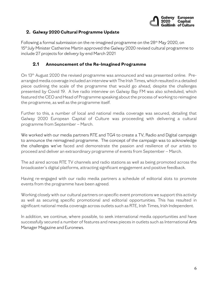![](_page_5_Picture_0.jpeg)

## **2. Galway 2020 Cultural Programme Update**

Following a formal submission on the re-imagined programme on the 28th May 2020, on 15th July Minister Catherine Martin approved the Galway 2020 revised cultural programme to include 27 projects for delivery by end March 2021

## **2.1 Announcement of the Re-Imagined Programme**

On 13th August 2020 the revised programme was announced and was presented online. Prearranged media coverage included an interview with The Irish Times, which resulted in a detailed piece outlining the scale of the programme that would go ahead, despite the challenges presented by Covid 19. A live radio interview on Galway Bay FM was also scheduled, which featured the CEO and Head of Programme speaking about the process of working to reimagine the programme, as well as the programme itself.

Further to this, a number of local and national media coverage was secured, detailing that Galway 2020 European Capital of Culture was proceeding with delivering a cultural programme from September – March.

We worked with our media partners RTE and TG4 to create a TV, Radio and Digital campaign to announce the reimagined programme. The concept of the campaign was to acknowledge the challenges we've faced and demonstrate the passion and resilience of our artists to proceed and deliver an extraordinary programme of events from September – March.

The ad aired across RTE TV channels and radio stations as well as being promoted across the broadcaster's digital platforms, attracting significant engagement and positive feedback.

Having re-engaged with our radio media partners a schedule of editorial slots to promote events from the programme have been agreed.

Working closely with our cultural partners on specific event promotions we support this activity as well as securing specific promotional and editorial opportunities. This has resulted in significant national media coverage across outlets such as RTE, Irish Times, Irish Independent.

In addition, we continue, where possible, to seek international media opportunities and have successfully secured a number of features and news pieces in outlets such as International Arts Manager Magazine and Euronews.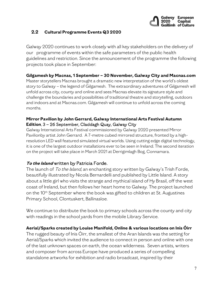![](_page_6_Picture_0.jpeg)

## **2.2 Cultural Programme Events Q3 2020**

Galway 2020 continues to work closely with all key stakeholders on the delivery of our programme of events within the safe parameters of the public health guidelines and restriction. Since the announcement of the programme the following projects took place in September:

## **Gilgamesh by Macnas, 1 September – 30 November, Galway City and Macnas.com**

Master storytellers Macnas brought a dramatic new interpretation of the world's oldest story to Galway – the legend of Gilgamesh. The extraordinary adventures of Gilgamesh will unfold across city, county and online and sees Macnas elevate its signature style and challenge the boundaries and possibilities of traditional theatre and storytelling, outdoors and indoors and at Macnas.com. Gilgamesh will continue to unfold across the coming months.

## **Mirror Pavilion by John Gerrard, Galway International Arts Festival Autumn Edition**, 3 – 26 September, Claddagh Quay, Galway City

Galway International Arts Festival commissioned by Galway 2020 presented Mirror Pavilionby artist John Gerrard. A 7-metre cubed mirrored structure, fronted by a highresolution LED wall featured simulated virtual worlds. Using cutting edge digital technology, it is one of the largest outdoor installations ever to be seen in Ireland. The second iteration on the project will take place in March 2021 at Derrigimlagh Bog, Connamara.

## **To the Island** written by Patricia Forde.

The launch of To the Island, an enchanting story written by Galway's Trish Forde, beautifully illustrated by Nicola Bernardelli and published by Little Island. A story about a little girl who visits the strange and mythical island of Hy Brasil, off the west coast of Ireland, but then follows her heart home to Galway. The project launched on the 10th September where the book was gifted to children at St. Augustines Primary School, Clontuskert, Ballinasloe.

We continue to distribute the book to primary schools across the county and city with readings in the school yards from the mobile Library Service.

#### **Aerial/Sparks created by Louise Manifold, Online & various locations on Inis Óirr**

The rugged beauty of Inis Óirr, the smallest of the Aran Islands was the setting for Aerial/Sparks which invited the audience to connect in person and online with one of the last unknown spaces on earth, the ocean wilderness. Seven artists, writers and composer from across Europe have produced a series of compelling standalone artworks for exhibition and radio broadcast, inspired by their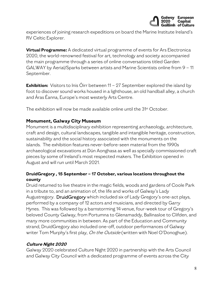![](_page_7_Picture_0.jpeg)

experiences of joining research expeditions on board the Marine Institute Ireland's RV Celtic Explorer.

**Virtual Programme:** A dedicated virtual programme of events for Ars Electronica 2020, the world-renowned festival for art, technology and society accompanied the main programme through a series of online conversations titled Garden GALWAY by Aerial/Sparks between artists and Marine Scientists online from 9 – 11 September.

**Exhibition:** Visitors to Inis Oirr between 11 – 27 September explored the island by foot to discover sound works housed in a lighthouse, an old handball alley, a church and Áras Éanna, Europe's most westerly Arts Centre.

The exhibition will now be made available online until the 31st October.

## **Monument, Galway City Museum**

Monument is a multidisciplinary exhibition representing archaeology, architecture, craft and design, cultural landscapes, tangible and intangible heritage, construction, sustainability and the social history associated with the monuments on the islands. The exhibition features never-before-seen material from the 1990s archaeological excavations at Dún Aonghasa as well as specially commissioned craft pieces by some of Ireland's most respected makers. The Exhibition opened in August and will run until March 2021.

# **DruidGregory , 15 September – 17 October, various locations throughout the county**

Druid returned to live theatre in the magic fields, woods and gardens of Coole Park in a tribute to, and an animation of, the life and works of Galway's Lady Augustregory. DruidGregory which included six of Lady Gregory's one-act plays, performed by a company of 12 actors and musicians, and directed by Garry Hynes. This was followed by a barnstorming 14 venue, four-week tour of Gregory's beloved County Galway, from Portumna to Glenamaddy, Ballinasloe to Clifden, and many more communities in between. As part of the Education and Community strand, DruidGregory also included one-off, outdoor performances of Galway writer Tom Murphy's first play, On the Outside (written with Noel O'Donoghue).

## **Culture Night 2020**

Galway 2020 celebrated Culture Night 2020 in partnership with the Arts Council and Galway City Council with a dedicated programme of events across the City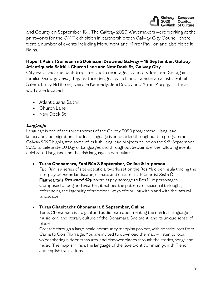![](_page_8_Picture_0.jpeg)

and County on September 18th. The Galway 2020 Wavemakers were working at the printworks for the GMIT exhibition in partnership with Galway City Council, there were a number of events including Monument and Mirror Pavilion and also Hope It Rains.

# **Hope It Rains | Soineann nó Doineann Drowned Galway – 18 September, Galway Atlantiquaria Salthill, Church Lane and New Dock St, Galway City**

City walls became backdrops for photo montages by artists Joe Lee. Set against familiar Galway views, they feature designs by Irish and Palestinian artists, Sohail Salem, Emily Ní Bhroin, Deirdre Kennedy, Jeni Roddy and Arran Murphy. The art works are located

- Atlantiquaria Salthill
- Church Lane
- New Dock St

#### **Language**

Language is one of the three themes of the Galway 2020 programme – language, landscape and migration. The Irish language is embedded throughout the programme. Galway 2020 highlighted some of its Irish Language projects online on the 26th September 2020 to celebrate EU Day of Languages and throughout September the following events celebrated language and the Irish language in particular:

#### • **Turas Chonamara, Faoi Rún 8 September, Online & In-person**

Faoi Rún is a series of site-specific artworks set on the Ros Muc peninsula tracing the interplay between landscape, climate and culture. Inis Mór artist Seán Ó Flaithearta's **Drowned Sky** portraits pay homage to Ros Muc personages. Composed of bog and weather, it echoes the patterns of seasonal turloughs, referencing the ingenuity of traditional ways of working within and with the natural landscape.

#### • **Turas Ghaeltacht Chonamara 8 September, Online**

Turas Chonamara is a digital and audio map documenting the rich Irish language music, oral and literary culture of the Conamara Gaeltacht, and its unique sense of place.

Created through a large-scale community mapping project, with contributors from Carna to Cois Fharraige. You are invited to download the map – listen to local voices sharing hidden treasures, and discover places through the stories, songs and music. The map is in Irish, the language of the Gaeltacht community, with French and English translations.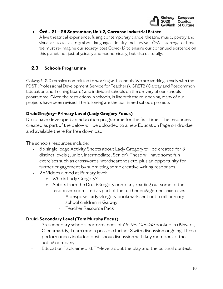![](_page_9_Picture_0.jpeg)

## • **Óró.. 21 – 26 September, Unit 2, Carraroe Industrial Estate**

A live theatrical experience, fusing contemporary dance, theatre, music, poetry and visual art to tell a story about language, identity and survival. Óró.. interrogates how we must re-imagine our society post Covid-19 to ensure our continued existence on this planet, not just physically and economically, but also culturally.

# **2.3 Schools Programme**

Galway 2020 remains committed to working with schools. We are working closely with the PDST (Professional Development Service for Teachers), GRETB (Galway and Roscommon Education and Training Board) and individual schools on the delivery of our schools programme. Given the restrictions in schools, in line with the re-opening, many of our projects have been revised. The following are the confirmed schools projects;

# **DruidGregory- Primary Level (Lady Gregory Focus)**

Druid have developed an education programme for the first time. The resources created as part of the below will be uploaded to a new Education Page on druid.ie and available there for free download.

The schools resources include;

- 6 x single-page Activity Sheets about Lady Gregory will be created for 3 distinct levels (Junior, Intermediate, Senior). These will have some fun exercises such as crosswords, wordsearches etc. plus an opportunity for further engagement by submitting some creative writing responses.
- 2 x Videos aimed at Primary level:
	- o Who is Lady Gregory?
	- o Actors from the DruidGregory company reading out some of the responses submitted as part of the further engagement exercises
		- A bespoke Lady Gregory bookmark sent out to all primary school children in Galway
		- Teacher Resource Pack

## **Druid-Secondary Level (Tom Murphy Focus)**

- 3 x secondary schools performances of On the Outside booked in (Kinvara, Glenamaddy, Tuam) and a possible further 3 with discussion ongoing. These performances included post-show discussion with key members of the acting company.
- Education Pack aimed at TY-level about the play and the cultural context.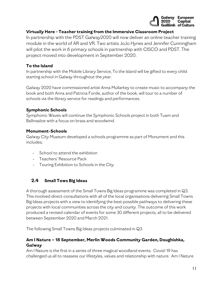![](_page_10_Picture_0.jpeg)

## **Virtually Here - Teacher training from the Immersive Classroom Project**

In partnership with the PDST Galway2020 will now deliver an online teacher training module in the world of AR and VR. Two artists JoJo Hynes and Jennifer Cunningham will pilot the work in 6 primary schools in partnership with CISCO and PDST. The project moved into development in September 2020.

## **To the Island**

In partnership with the Mobile Library Service, To the Island will be gifted to every child starting school in Galway throughout the year.

Galway 2020 have commissioned artist Anna Mullarkey to create music to accompany the book and both Anna and Patricia Forde, author of the book, will tour to a number of schools via the library service for readings and performances.

## **Symphonic Schools**

Symphonic Waves will continue the Symphonic Schools project in both Tuam and Ballinasloe with a focus on brass and woodwind.

#### **Monument-Schools**

Galway City Museum developed a schools programme as part of Monument and this includes;

- School to attend the exhibition
- Teachers' Resource Pack
- Touring Exhibition to Schools in the City

## **2.4 Small Tows Big Ideas**

A thorough assessment of the Small Towns Big Ideas programme was completed in Q3. This involved direct consultations with all of the local organisations delivering Small Towns Big Ideas projects with a view to identifying the best possible pathways to delivering these projects with local communities across the city and county. The outcome of this work produced a revised calendar of events for some 30 different projects, all to be delivered between September 2020 and March 2021.

The following Small Towns Big Ideas projects culminated in Q3

# **Am I Nature – 18 September, Merlin Woods Community Garden, Doughishka, Galway**

Am I Nature is the first in a series of three magical woodland events. Covid-19 has challenged us all to reassess our lifestyles, values and relationship with nature. Am I Nature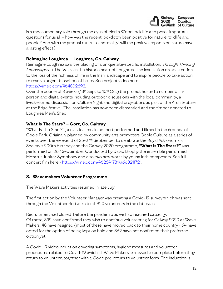![](_page_11_Picture_0.jpeg)

is a mockumentary told through the eyes of Merlin Woods wildlife and poses important questions for us all – how was the recent lockdown been positive for nature, wildlife and people? And with the gradual return to 'normality' will the positive impacts on nature have a lasting effect?

#### **Reimagine Loughrea – Loughrea, Co. Galway**

Reimagine Loughrea saw the placing of a unique site-specific installation, Through Thinning Landscapes at The Walks in the historic heart of Loughrea. The installation drew attention to the loss of the richness of life in the Irish landscape and to inspire people to take action to resolve urgent biospherical issues. See project video here [https://vimeo.com/464802693.](https://vimeo.com/464802693)

Over the course of 3 weeks (18<sup>th</sup> Sept to 10<sup>th</sup> Oct) the project hosted a number of inperson and digital events including outdoor discussions with the local community, a livestreamed discussion on Culture Night and digital projections as part of the Architecture at the Edge festival. The installation has now been dismantled and the timber donated to Loughrea Men's Shed.

#### **What Is The Stars? – Gort, Co. Galway**

"What Is The Stars?" , a classical music concert performed and filmed in the grounds of Coole Park. Originally planned by community arts promoters Coole Culture as a series of events over the weekend of 25-27th September to celebrate the Royal Astronomical Society's 200th birthday and the Galway 2020 programme, **"What Is The Stars?"** was performed on 26th September. Conducted by David Brophy the ensemble performed Mozart's Jupiter Symphony and also two new works by young Irish composers. See full concert film here - [https://vimeo.com/462541781/a6d321f721.](https://vimeo.com/462541781/a6d321f721)

#### **3. Wavemakers Volunteer Programme**

The Wave Makers activities resumed in late July

The first action by the Volunteer Manager was creating a Covid-19 survey which was sent through the Volunteer Software to all 820 volunteers in the database.

Recruitment had closed before the pandemic as we had reached capacity. Of these, 342 have confirmed they wish to continue volunteering for Galway 2020 as Wave Makers, 48 have resigned (most of these have moved back to their home country), 64 have opted for the option of being kept on hold and 362 have not confirmed their preferred option yet.

A Covid-19 video induction covering symptoms, hygiene measures and volunteer procedures related to Covid-19 which all Wave Makers are asked to complete before they return to volunteer, together with a Covid pre-return to volunteer form. The induction is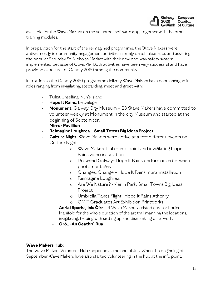![](_page_12_Picture_0.jpeg)

available for the Wave Makers on the volunteer software app, together with the other training modules.

In preparation for the start of the reimagined programme, the Wave Makers were active mostly in community engagement activities namely beach clean-ups and assisting the popular Saturday St. Nicholas Market with their new one-way safety system implemented because of Covid-19. Both activities have been very successful and have provided exposure for Galway 2020 among the community.

In relation to the Galway 2020 programme delivery Wave Makers have been engaged in roles ranging from invigilating, stewarding, meet and greet with:

- **Tulca** Unselfing, Nun's Island
- **Hope It Rains**, Le Deluge
- **Monument**, Galway City Museum 23 Wave Makers have committed to volunteer weekly at Monument in the city Museum and started at the beginning of September.
- **Mirror Pavillion**
- **Reimagine Loughrea – Small Towns Big Ideas Project**
- **Culture Night:** Wave Makers were active at a few different events on Culture Night:
	- o Wave Makers Hub info point and invigilating Hope it Rains video installation
	- o Drowned Galway- Hope It Rains performance between photomontages
	- o Changes, Change Hope It Rains mural installation
	- o Reimagine Loughrea
	- o Are We Nature? -Merlin Park, Small Towns Big Ideas Project
	- o Umbrella Takes Flight- Hope It Rains Athenry
	- o GMIT Graduates Art Exhibition Printworks
	- **Aerial Sparks, Inis Öirr** 4 Wave Makers assisted curator Louise Manifold for the whole duration of the art trail manning the locations, invigilating, helping with setting up and dismantling of artwork.
	- **Oró.. -An Ceathrú Rua**

#### **Wave Makers Hub:**

The Wave Makers Volunteer Hub reopened at the end of July. Since the beginning of September Wave Makers have also started volunteering in the hub at the info point,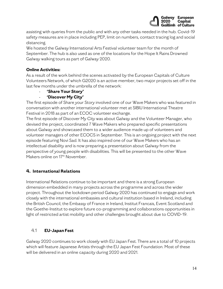![](_page_13_Picture_0.jpeg)

assisting with queries from the public and with any other tasks needed in the hub. Covid-19 safety measures are in place including PEP, limit on numbers, contact tracing log and social distancing.

We hosted the Galway International Arts Festival volunteer team for the month of September. The hub is also used as one of the locations for the Hope It Rains Drowned Galway walking tours as part of Galway 2020.

## **Online Activities:**

As a result of the work behind the scenes activated by the European Capitals of Culture Volunteers Network, of which G2020 is an active member, two major projects set off in the last few months under the umbrella of the network:

#### - **'Share Your Story'**

## - **'Discover My City'**

The first episode of Share your Story involved one of our Wave Makers who was featured in conversation with another international volunteer met at SIBIU International Theatre Festival in 2018 as part of an ECOC volunteer exchange.

The first episode of Discover My City was about Galway and the Volunteer Manager, who devised the project, coordinated 7 Wave Makers who prepared specific presentations about Galway and showcased them to a wider audience made up of volunteers and volunteer managers of other ECOCS in September. This is an ongoing project with the next episode featuring Novi Sad. It has also inspired one of our Wave Makers who has an intellectual disability and is now preparing a presentation about Galway from the perspective of young people with disabilities. This will be presented to the other Wave Makers online on 17<sup>th</sup> November.

## **4. International Relations**

International Relations continue to be important and there is a strong European dimension embedded in many projects across the programme and across the wider project. Throughout the lockdown period Galway 2020 has continued to engage and work closely with the international embassies and cultural institution based in Ireland, including the British Council, the Embassy of France in Ireland, Institut Francais, Event Scotland and the Goethe-Institut to explore future co-programming and collaborations opportunities in light of restricted artist mobility and other challenges brought about due to COVID-19.

## 4.1 **EU-Japan Fest**

Galway 2020 continues to work closely with EU Japan Fest. There are a total of 10 projects which will feature Japanese Artists through the EU Japan Fest Foundation. Most of these will be delivered in an online capacity during 2020 and 2021.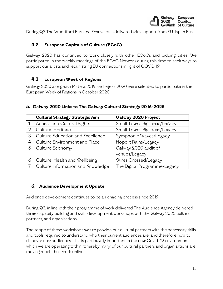![](_page_14_Picture_0.jpeg)

During Q3 The Woodford Furnace Festival was delivered with support from EU Japan Fest

## **4.2 European Capitals of Culture (ECoC)**

Galway 2020 has continued to work closely with other ECoCs and bidding cities. We participated in the weekly meetings of the ECoC Network during this time to seek ways to support our artists and retain string EU connections in light of COVID 19

## **4.3 European Week of Regions**

Galway 2020 along with Matera 2019 and Rijeka 2020 were selected to participate in the European Week of Regions in October 2020

## **5. Galway 2020 Links to The Galway Cultural Strategy 2016-2025**

|              | <b>Cultural Strategy Strategic Aim</b> | Galway 2020 Project          |
|--------------|----------------------------------------|------------------------------|
|              | Access and Cultural Rights             | Small Towns Big Ideas/Legacy |
| $\mathbf{2}$ | Cultural Heritage                      | Small Towns Big Ideas/Legacy |
| 3            | Culture Education and Excellence       | Symphonic Waves/Legacy       |
| 4            | Culture Environment and Place          | Hope It Rains/Legacy         |
| 5            | Culture Economy                        | Galway 2020 audit of         |
|              |                                        | venues/Legacy                |
| 6            | Culture, Health and Wellbeing          | Wires Crossed/Legacy         |
|              | Culture Information and Knowledge      | The Digital Programme/Legacy |

#### **6. Audience Development Update**

Audience development continues to be an ongoing process since 2019.

During Q3, in line with their programme of work delivered The Audience Agency delivered three capacity building and skills development workshops with the Galway 2020 cultural partners, and organisations.

The scope of these workshops was to provide our cultural partners with the necessary skills and tools required to understand who their current audiences are, and therefore how to discover new audiences. This is particularly important in the new Covid-19 environment which we are operating within, whereby many of our cultural partners and organisations are moving much their work online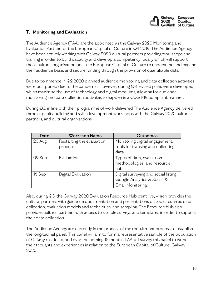![](_page_15_Picture_0.jpeg)

## **7. Monitoring and Evaluation**

The Audience Agency (TAA) are the appointed as the Galway 2020 Monitoring and Evaluation Partner for the European Capital of Culture in Q4 2019. The Audience Agency have been actively working with Galway 2020 cultural partners providing workshops and training in order to build capacity and develop a competency locally which will support these cultural organisation post the European Capital of Culture to understand and expand their audience base, and secure funding through the provision of quantifiable data.

Due to commence in Q2 2020 planned audience monitoring and data collection activities were postponed due to the pandemic. However, during Q3 revised plans were developed, which maximise the use of technology and digital mediums, allowing for audience monitoring and data collection activates to happen in a Covid-19 compliant manner.

During Q3, in line with their programme of work delivered The Audience Agency delivered three capacity building and skills development workshops with the Galway 2020 cultural partners, and cultural organisations.

| Date   | <b>Workshop Name</b>      | Outcomes                              |
|--------|---------------------------|---------------------------------------|
| 20 Aug | Restarting the evaluation | Monitoring digital engagement,        |
|        | process                   | tools for tracking and collecting     |
|        |                           | data.                                 |
| 09 Sep | Evaluation                | Types of data, evaluation             |
|        |                           | methodologies, and resource           |
|        |                           | hub.                                  |
| 16 Sep | Digital Evaluation        | Digital surveying and social listing, |
|        |                           | Google Analytics & Social &           |
|        |                           | Email Monitoring.                     |

Also, during Q3, the Galway 2020 Evaluation Resource Hub went live, which provides the cultural partners with guidance documentation and presentations on topics such as data collection, evaluation models and techniques, and sampling. The Resource Hub also provides cultural partners with access to sample surveys and templates in order to support their data collection.

The Audience Agency are currently in the process of the recruitment process to establish the longitudinal panel. This panel will aim to form a representative sample of the population of Galway residents, and over the coming 12 months TAA will survey this panel to gather their thoughts and experiences in relation to the European Capital of Culture, Galway 2020.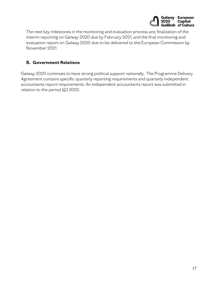![](_page_16_Picture_0.jpeg)

The next key milestones in the monitoring and evaluation process are; finalization of the interim reporting on Galway 2020 due by February 2021, and the final monitoring and evaluation report on Galway 2020 due to be delivered to the European Commission by November 2021.

## **8. Government Relations**

Galway 2020 continues to have strong political support nationally. The Programme Delivery Agreement contains specific quarterly reporting requirements and quarterly independent accountants report requirements. An independent accountants report was submitted in relation to the period Q3 2020.